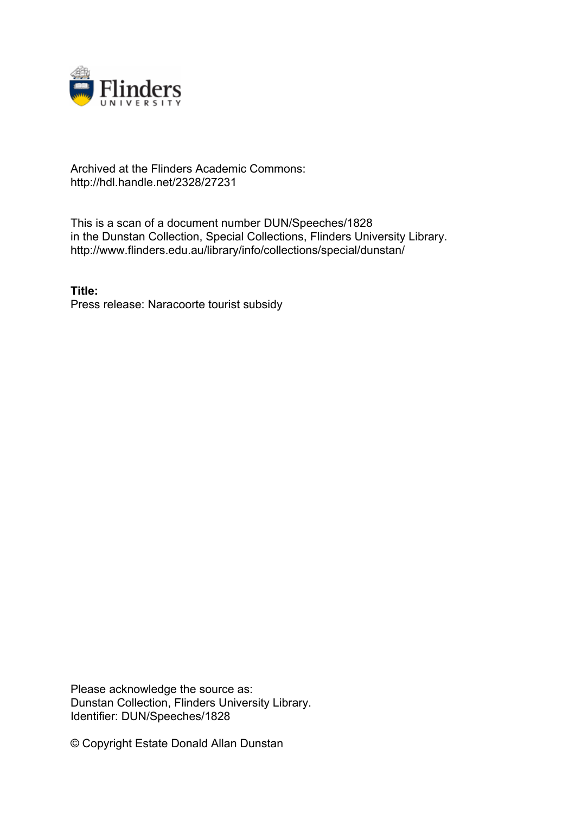

## Archived at the Flinders Academic Commons: http://hdl.handle.net/2328/27231

This is a scan of a document number DUN/Speeches/1828 in the Dunstan Collection, Special Collections, Flinders University Library. http://www.flinders.edu.au/library/info/collections/special/dunstan/

**Title:** Press release: Naracoorte tourist subsidy

Please acknowledge the source as: Dunstan Collection, Flinders University Library. Identifier: DUN/Speeches/1828

© Copyright Estate Donald Allan Dunstan